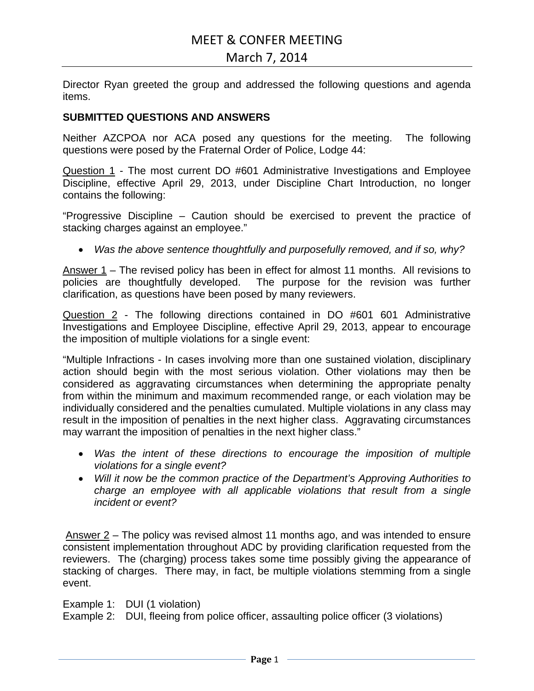# MEET & CONFER MEETING

## March 7, 2014

Director Ryan greeted the group and addressed the following questions and agenda items.

#### **SUBMITTED QUESTIONS AND ANSWERS**

Neither AZCPOA nor ACA posed any questions for the meeting. The following questions were posed by the Fraternal Order of Police, Lodge 44:

Question 1 - The most current DO #601 Administrative Investigations and Employee Discipline, effective April 29, 2013, under Discipline Chart Introduction, no longer contains the following:

"Progressive Discipline – Caution should be exercised to prevent the practice of stacking charges against an employee."

• *Was the above sentence thoughtfully and purposefully removed, and if so, why?* 

Answer 1 – The revised policy has been in effect for almost 11 months. All revisions to policies are thoughtfully developed. The purpose for the revision was further clarification, as questions have been posed by many reviewers.

Question 2 - The following directions contained in DO #601 601 Administrative Investigations and Employee Discipline, effective April 29, 2013, appear to encourage the imposition of multiple violations for a single event:

"Multiple Infractions - In cases involving more than one sustained violation, disciplinary action should begin with the most serious violation. Other violations may then be considered as aggravating circumstances when determining the appropriate penalty from within the minimum and maximum recommended range, or each violation may be individually considered and the penalties cumulated. Multiple violations in any class may result in the imposition of penalties in the next higher class. Aggravating circumstances may warrant the imposition of penalties in the next higher class."

- *Was the intent of these directions to encourage the imposition of multiple violations for a single event?*
- *Will it now be the common practice of the Department's Approving Authorities to charge an employee with all applicable violations that result from a single incident or event?*

Answer 2 – The policy was revised almost 11 months ago, and was intended to ensure consistent implementation throughout ADC by providing clarification requested from the reviewers. The (charging) process takes some time possibly giving the appearance of stacking of charges. There may, in fact, be multiple violations stemming from a single event.

Example 1: DUI (1 violation)

Example 2: DUI, fleeing from police officer, assaulting police officer (3 violations)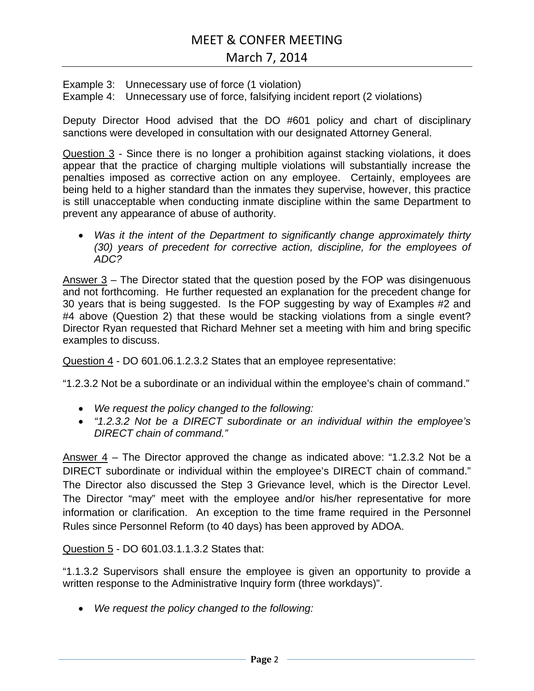# March 7, 2014

Example 3: Unnecessary use of force (1 violation) Example 4: Unnecessary use of force, falsifying incident report (2 violations)

Deputy Director Hood advised that the DO #601 policy and chart of disciplinary sanctions were developed in consultation with our designated Attorney General.

Question 3 - Since there is no longer a prohibition against stacking violations, it does appear that the practice of charging multiple violations will substantially increase the penalties imposed as corrective action on any employee. Certainly, employees are being held to a higher standard than the inmates they supervise, however, this practice is still unacceptable when conducting inmate discipline within the same Department to prevent any appearance of abuse of authority.

• *Was it the intent of the Department to significantly change approximately thirty (30) years of precedent for corrective action, discipline, for the employees of ADC?* 

Answer 3 – The Director stated that the question posed by the FOP was disingenuous and not forthcoming. He further requested an explanation for the precedent change for 30 years that is being suggested. Is the FOP suggesting by way of Examples #2 and #4 above (Question 2) that these would be stacking violations from a single event? Director Ryan requested that Richard Mehner set a meeting with him and bring specific examples to discuss.

Question 4 - DO 601.06.1.2.3.2 States that an employee representative:

"1.2.3.2 Not be a subordinate or an individual within the employee's chain of command."

- *We request the policy changed to the following:*
- *"1.2.3.2 Not be a DIRECT subordinate or an individual within the employee's DIRECT chain of command."*

Answer 4 – The Director approved the change as indicated above: "1.2.3.2 Not be a DIRECT subordinate or individual within the employee's DIRECT chain of command." The Director also discussed the Step 3 Grievance level, which is the Director Level. The Director "may" meet with the employee and/or his/her representative for more information or clarification. An exception to the time frame required in the Personnel Rules since Personnel Reform (to 40 days) has been approved by ADOA.

Question 5 - DO 601.03.1.1.3.2 States that:

"1.1.3.2 Supervisors shall ensure the employee is given an opportunity to provide a written response to the Administrative Inquiry form (three workdays)".

• *We request the policy changed to the following:*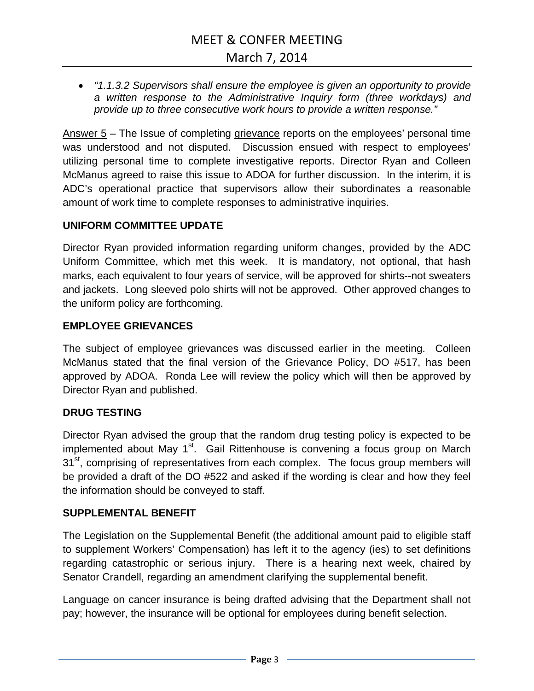• *"1.1.3.2 Supervisors shall ensure the employee is given an opportunity to provide a written response to the Administrative Inquiry form (three workdays) and provide up to three consecutive work hours to provide a written response."* 

Answer  $5 -$  The Issue of completing grievance reports on the employees' personal time was understood and not disputed. Discussion ensued with respect to employees' utilizing personal time to complete investigative reports. Director Ryan and Colleen McManus agreed to raise this issue to ADOA for further discussion. In the interim, it is ADC's operational practice that supervisors allow their subordinates a reasonable amount of work time to complete responses to administrative inquiries.

#### **UNIFORM COMMITTEE UPDATE**

Director Ryan provided information regarding uniform changes, provided by the ADC Uniform Committee, which met this week. It is mandatory, not optional, that hash marks, each equivalent to four years of service, will be approved for shirts--not sweaters and jackets. Long sleeved polo shirts will not be approved. Other approved changes to the uniform policy are forthcoming.

### **EMPLOYEE GRIEVANCES**

The subject of employee grievances was discussed earlier in the meeting. Colleen McManus stated that the final version of the Grievance Policy, DO #517, has been approved by ADOA. Ronda Lee will review the policy which will then be approved by Director Ryan and published.

#### **DRUG TESTING**

Director Ryan advised the group that the random drug testing policy is expected to be implemented about May 1<sup>st</sup>. Gail Rittenhouse is convening a focus group on March 31<sup>st</sup>, comprising of representatives from each complex. The focus group members will be provided a draft of the DO #522 and asked if the wording is clear and how they feel the information should be conveyed to staff.

#### **SUPPLEMENTAL BENEFIT**

The Legislation on the Supplemental Benefit (the additional amount paid to eligible staff to supplement Workers' Compensation) has left it to the agency (ies) to set definitions regarding catastrophic or serious injury. There is a hearing next week, chaired by Senator Crandell, regarding an amendment clarifying the supplemental benefit.

Language on cancer insurance is being drafted advising that the Department shall not pay; however, the insurance will be optional for employees during benefit selection.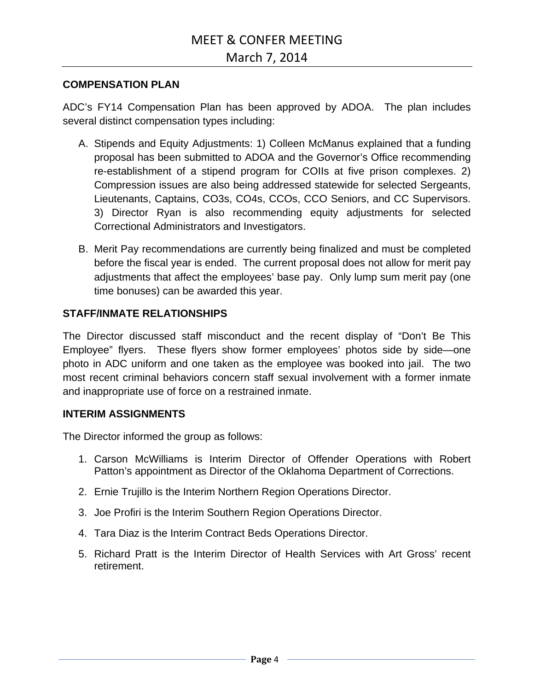#### **COMPENSATION PLAN**

ADC's FY14 Compensation Plan has been approved by ADOA. The plan includes several distinct compensation types including:

- A. Stipends and Equity Adjustments: 1) Colleen McManus explained that a funding proposal has been submitted to ADOA and the Governor's Office recommending re-establishment of a stipend program for COIIs at five prison complexes. 2) Compression issues are also being addressed statewide for selected Sergeants, Lieutenants, Captains, CO3s, CO4s, CCOs, CCO Seniors, and CC Supervisors. 3) Director Ryan is also recommending equity adjustments for selected Correctional Administrators and Investigators.
- B. Merit Pay recommendations are currently being finalized and must be completed before the fiscal year is ended. The current proposal does not allow for merit pay adjustments that affect the employees' base pay. Only lump sum merit pay (one time bonuses) can be awarded this year.

## **STAFF/INMATE RELATIONSHIPS**

The Director discussed staff misconduct and the recent display of "Don't Be This Employee" flyers. These flyers show former employees' photos side by side—one photo in ADC uniform and one taken as the employee was booked into jail. The two most recent criminal behaviors concern staff sexual involvement with a former inmate and inappropriate use of force on a restrained inmate.

#### **INTERIM ASSIGNMENTS**

The Director informed the group as follows:

- 1. Carson McWilliams is Interim Director of Offender Operations with Robert Patton's appointment as Director of the Oklahoma Department of Corrections.
- 2. Ernie Trujillo is the Interim Northern Region Operations Director.
- 3. Joe Profiri is the Interim Southern Region Operations Director.
- 4. Tara Diaz is the Interim Contract Beds Operations Director.
- 5. Richard Pratt is the Interim Director of Health Services with Art Gross' recent retirement.